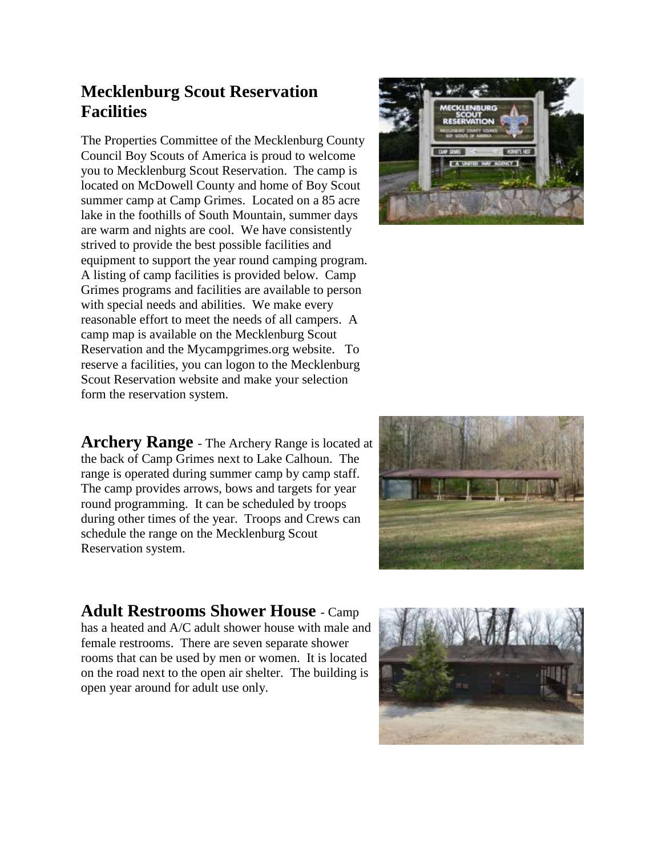## **Mecklenburg Scout Reservation Facilities**

The Properties Committee of the Mecklenburg County Council Boy Scouts of America is proud to welcome you to Mecklenburg Scout Reservation. The camp is located on McDowell County and home of Boy Scout summer camp at Camp Grimes. Located on a 85 acre lake in the foothills of South Mountain, summer days are warm and nights are cool. We have consistently strived to provide the best possible facilities and equipment to support the year round camping program. A listing of camp facilities is provided below. Camp Grimes programs and facilities are available to person with special needs and abilities. We make every reasonable effort to meet the needs of all campers. A camp map is available on the Mecklenburg Scout Reservation and the Mycampgrimes.org website. To reserve a facilities, you can logon to the Mecklenburg Scout Reservation website and make your selection form the reservation system.

**Archery Range** - The Archery Range is located at the back of Camp Grimes next to Lake Calhoun. The range is operated during summer camp by camp staff. The camp provides arrows, bows and targets for year round programming. It can be scheduled by troops during other times of the year. Troops and Crews can schedule the range on the Mecklenburg Scout Reservation system.





**Adult Restrooms Shower House** - Camp has a heated and A/C adult shower house with male and female restrooms. There are seven separate shower rooms that can be used by men or women. It is located on the road next to the open air shelter. The building is open year around for adult use only.

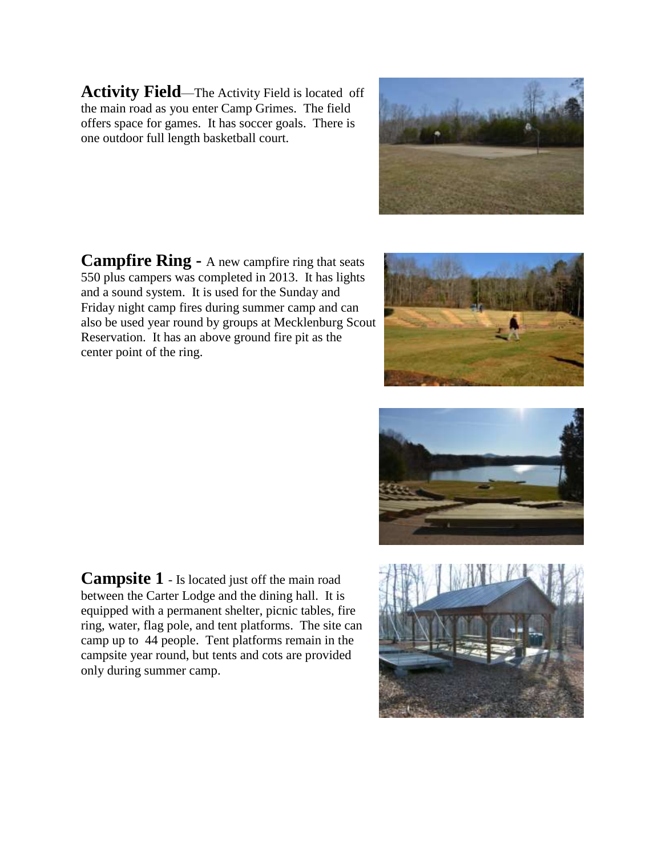**Activity Field**—The Activity Field is located off the main road as you enter Camp Grimes. The field offers space for games. It has soccer goals. There is one outdoor full length basketball court.

**Campfire Ring -** A new campfire ring that seats 550 plus campers was completed in 2013. It has lights and a sound system. It is used for the Sunday and Friday night camp fires during summer camp and can also be used year round by groups at Mecklenburg Scout Reservation. It has an above ground fire pit as the center point of the ring.

**Campsite 1** - Is located just off the main road between the Carter Lodge and the dining hall. It is equipped with a permanent shelter, picnic tables, fire ring, water, flag pole, and tent platforms. The site can camp up to 44 people. Tent platforms remain in the campsite year round, but tents and cots are provided only during summer camp.







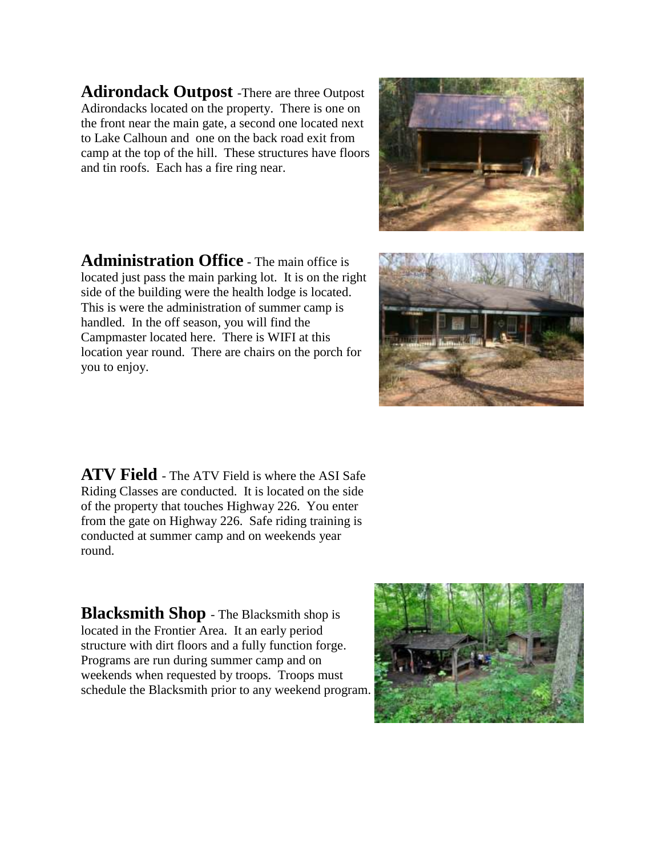**Adirondack Outpost** -There are three Outpost Adirondacks located on the property. There is one on the front near the main gate, a second one located next to Lake Calhoun and one on the back road exit from camp at the top of the hill. These structures have floors and tin roofs. Each has a fire ring near.

**Administration Office** - The main office is located just pass the main parking lot. It is on the right side of the building were the health lodge is located. This is were the administration of summer camp is handled. In the off season, you will find the Campmaster located here. There is WIFI at this location year round. There are chairs on the porch for you to enjoy.

**ATV Field** - The ATV Field is where the ASI Safe Riding Classes are conducted. It is located on the side of the property that touches Highway 226. You enter from the gate on Highway 226. Safe riding training is conducted at summer camp and on weekends year round.

**Blacksmith Shop** - The Blacksmith shop is located in the Frontier Area. It an early period structure with dirt floors and a fully function forge. Programs are run during summer camp and on weekends when requested by troops. Troops must schedule the Blacksmith prior to any weekend program.





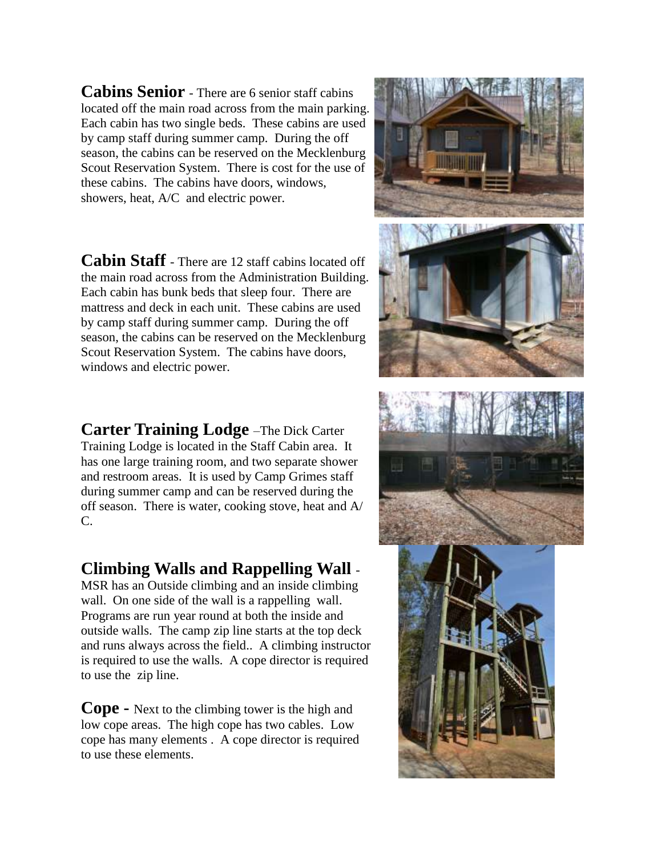**Cabins Senior** - There are 6 senior staff cabins located off the main road across from the main parking. Each cabin has two single beds. These cabins are used by camp staff during summer camp. During the off season, the cabins can be reserved on the Mecklenburg Scout Reservation System. There is cost for the use of these cabins. The cabins have doors, windows, showers, heat, A/C and electric power.

**Cabin Staff** - There are 12 staff cabins located off the main road across from the Administration Building. Each cabin has bunk beds that sleep four. There are mattress and deck in each unit. These cabins are used by camp staff during summer camp. During the off season, the cabins can be reserved on the Mecklenburg Scout Reservation System. The cabins have doors, windows and electric power.

**Carter Training Lodge** –The Dick Carter Training Lodge is located in the Staff Cabin area. It has one large training room, and two separate shower and restroom areas. It is used by Camp Grimes staff during summer camp and can be reserved during the off season. There is water, cooking stove, heat and A/ C.

## **Climbing Walls and Rappelling Wall** -

MSR has an Outside climbing and an inside climbing wall. On one side of the wall is a rappelling wall. Programs are run year round at both the inside and outside walls. The camp zip line starts at the top deck and runs always across the field.. A climbing instructor is required to use the walls. A cope director is required to use the zip line.

**Cope -** Next to the climbing tower is the high and low cope areas. The high cope has two cables. Low cope has many elements . A cope director is required to use these elements.

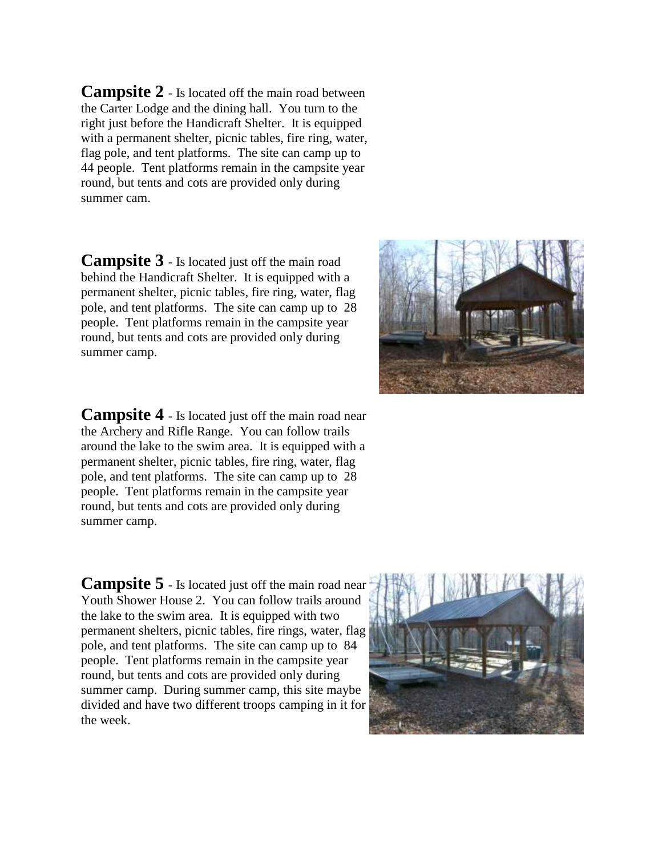**Campsite 2** - Is located off the main road between the Carter Lodge and the dining hall. You turn to the right just before the Handicraft Shelter. It is equipped with a permanent shelter, picnic tables, fire ring, water, flag pole, and tent platforms. The site can camp up to 44 people. Tent platforms remain in the campsite year round, but tents and cots are provided only during summer cam.

**Campsite 3** - Is located just off the main road behind the Handicraft Shelter. It is equipped with a permanent shelter, picnic tables, fire ring, water, flag pole, and tent platforms. The site can camp up to 28 people. Tent platforms remain in the campsite year round, but tents and cots are provided only during summer camp.



**Campsite 4** - Is located just off the main road near the Archery and Rifle Range. You can follow trails around the lake to the swim area. It is equipped with a permanent shelter, picnic tables, fire ring, water, flag pole, and tent platforms. The site can camp up to 28 people. Tent platforms remain in the campsite year round, but tents and cots are provided only during summer camp.

**Campsite 5** - Is located just off the main road near Youth Shower House 2. You can follow trails around the lake to the swim area. It is equipped with two permanent shelters, picnic tables, fire rings, water, flag pole, and tent platforms. The site can camp up to 84 people. Tent platforms remain in the campsite year round, but tents and cots are provided only during summer camp. During summer camp, this site maybe divided and have two different troops camping in it for the week.

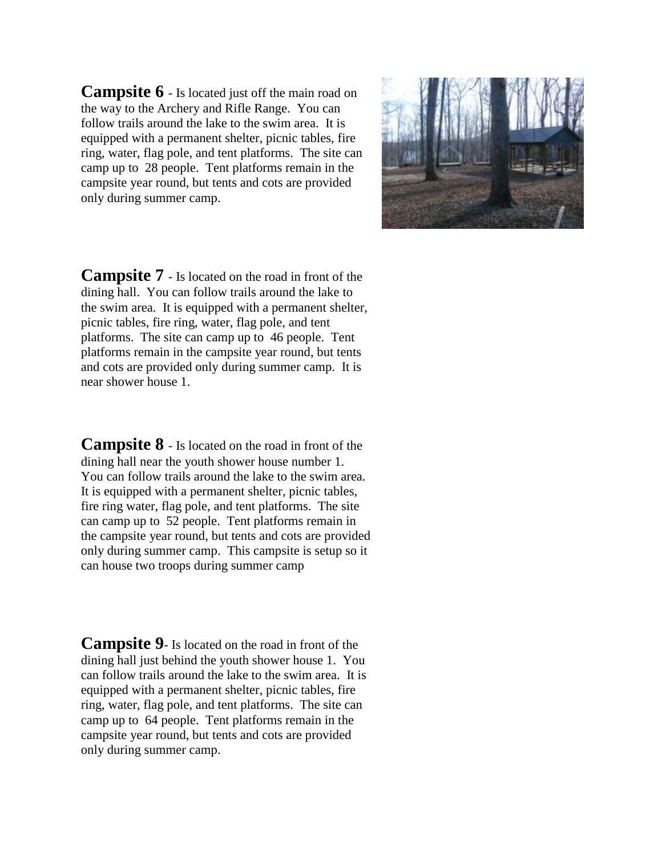**Campsite 6** - Is located just off the main road on the way to the Archery and Rifle Range. You can follow trails around the lake to the swim area. It is equipped with a permanent shelter, picnic tables, fire ring, water, flag pole, and tent platforms. The site can camp up to 28 people. Tent platforms remain in the campsite year round, but tents and cots are provided only during summer camp.



**Campsite 7** - Is located on the road in front of the dining hall. You can follow trails around the lake to the swim area. It is equipped with a permanent shelter, picnic tables, fire ring, water, flag pole, and tent platforms. The site can camp up to 46 people. Tent platforms remain in the campsite year round, but tents and cots are provided only during summer camp. It is near shower house 1.

**Campsite 8** - Is located on the road in front of the dining hall near the youth shower house number 1. You can follow trails around the lake to the swim area. It is equipped with a permanent shelter, picnic tables, fire ring water, flag pole, and tent platforms. The site can camp up to 52 people. Tent platforms remain in the campsite year round, but tents and cots are provided only during summer camp. This campsite is setup so it can house two troops during summer camp

**Campsite 9**- Is located on the road in front of the dining hall just behind the youth shower house 1. You can follow trails around the lake to the swim area. It is equipped with a permanent shelter, picnic tables, fire ring, water, flag pole, and tent platforms. The site can camp up to 64 people. Tent platforms remain in the campsite year round, but tents and cots are provided only during summer camp.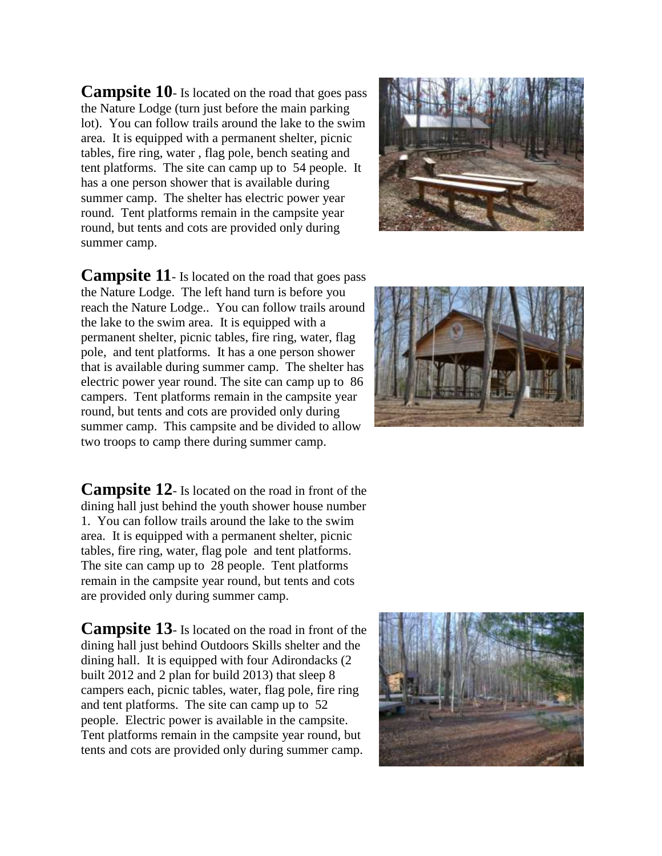**Campsite 10**- Is located on the road that goes pass the Nature Lodge (turn just before the main parking lot). You can follow trails around the lake to the swim area. It is equipped with a permanent shelter, picnic tables, fire ring, water , flag pole, bench seating and tent platforms. The site can camp up to 54 people. It has a one person shower that is available during summer camp. The shelter has electric power year round. Tent platforms remain in the campsite year round, but tents and cots are provided only during summer camp.



**Campsite 11**- Is located on the road that goes pass the Nature Lodge. The left hand turn is before you reach the Nature Lodge.. You can follow trails around the lake to the swim area. It is equipped with a permanent shelter, picnic tables, fire ring, water, flag pole, and tent platforms. It has a one person shower that is available during summer camp. The shelter has electric power year round. The site can camp up to 86 campers. Tent platforms remain in the campsite year round, but tents and cots are provided only during summer camp. This campsite and be divided to allow two troops to camp there during summer camp.

**Campsite 12**- Is located on the road in front of the dining hall just behind the youth shower house number 1. You can follow trails around the lake to the swim area. It is equipped with a permanent shelter, picnic tables, fire ring, water, flag pole and tent platforms. The site can camp up to 28 people. Tent platforms remain in the campsite year round, but tents and cots are provided only during summer camp.

**Campsite 13**- Is located on the road in front of the dining hall just behind Outdoors Skills shelter and the dining hall. It is equipped with four Adirondacks (2 built 2012 and 2 plan for build 2013) that sleep 8 campers each, picnic tables, water, flag pole, fire ring and tent platforms. The site can camp up to 52 people. Electric power is available in the campsite. Tent platforms remain in the campsite year round, but tents and cots are provided only during summer camp.



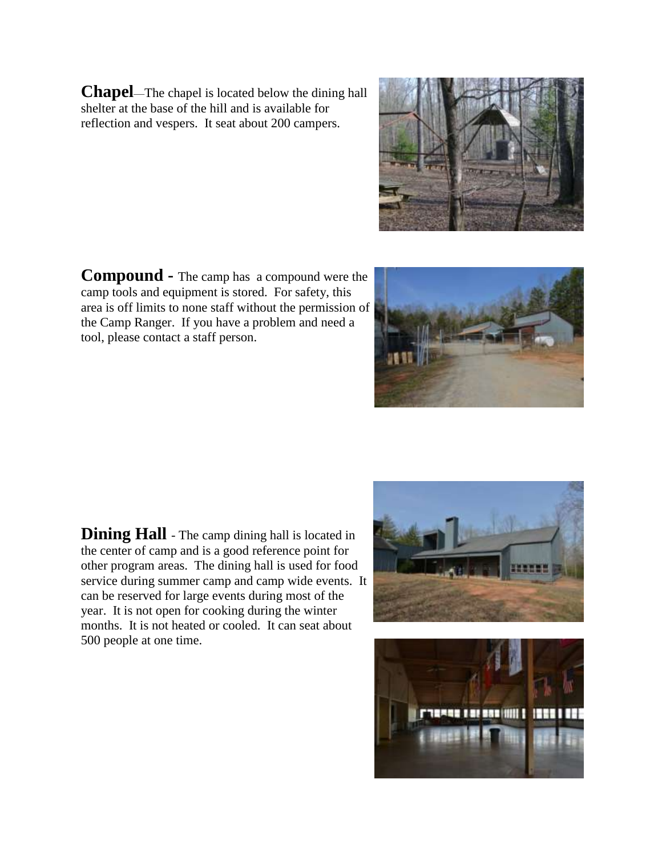**Chapel**—The chapel is located below the dining hall shelter at the base of the hill and is available for reflection and vespers. It seat about 200 campers.



**Compound -** The camp has a compound were the camp tools and equipment is stored. For safety, this area is off limits to none staff without the permission of the Camp Ranger. If you have a problem and need a tool, please contact a staff person.

**Dining Hall** - The camp dining hall is located in the center of camp and is a good reference point for other program areas. The dining hall is used for food service during summer camp and camp wide events. It can be reserved for large events during most of the year. It is not open for cooking during the winter months. It is not heated or cooled. It can seat about 500 people at one time.





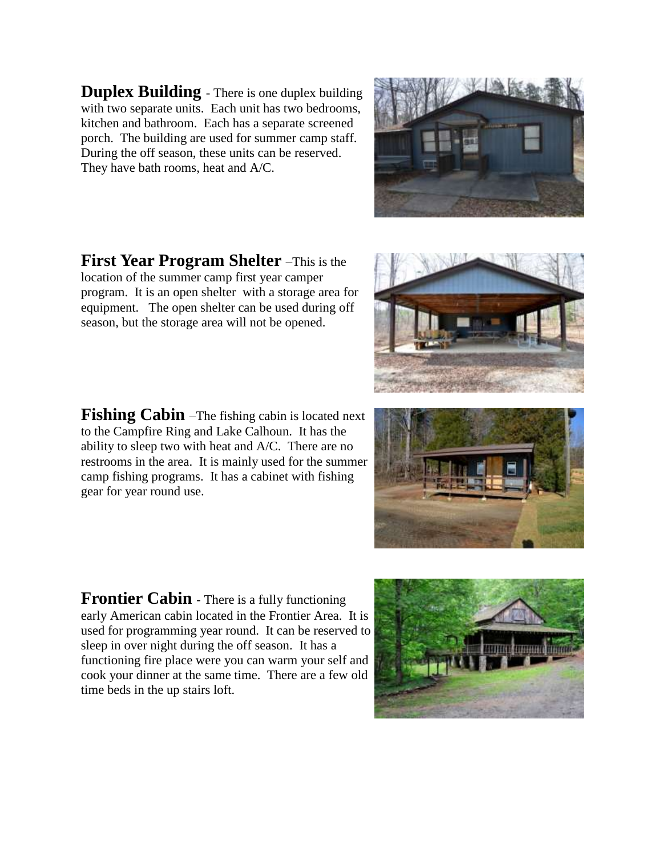**Duplex Building** - There is one duplex building with two separate units. Each unit has two bedrooms, kitchen and bathroom. Each has a separate screened porch. The building are used for summer camp staff. During the off season, these units can be reserved. They have bath rooms, heat and A/C.

**First Year Program Shelter** –This is the location of the summer camp first year camper program. It is an open shelter with a storage area for equipment. The open shelter can be used during off season, but the storage area will not be opened.

**Fishing Cabin** –The fishing cabin is located next to the Campfire Ring and Lake Calhoun. It has the ability to sleep two with heat and A/C. There are no restrooms in the area. It is mainly used for the summer camp fishing programs. It has a cabinet with fishing gear for year round use.

**Frontier Cabin** - There is a fully functioning early American cabin located in the Frontier Area. It is used for programming year round. It can be reserved to sleep in over night during the off season. It has a functioning fire place were you can warm your self and cook your dinner at the same time. There are a few old time beds in the up stairs loft.







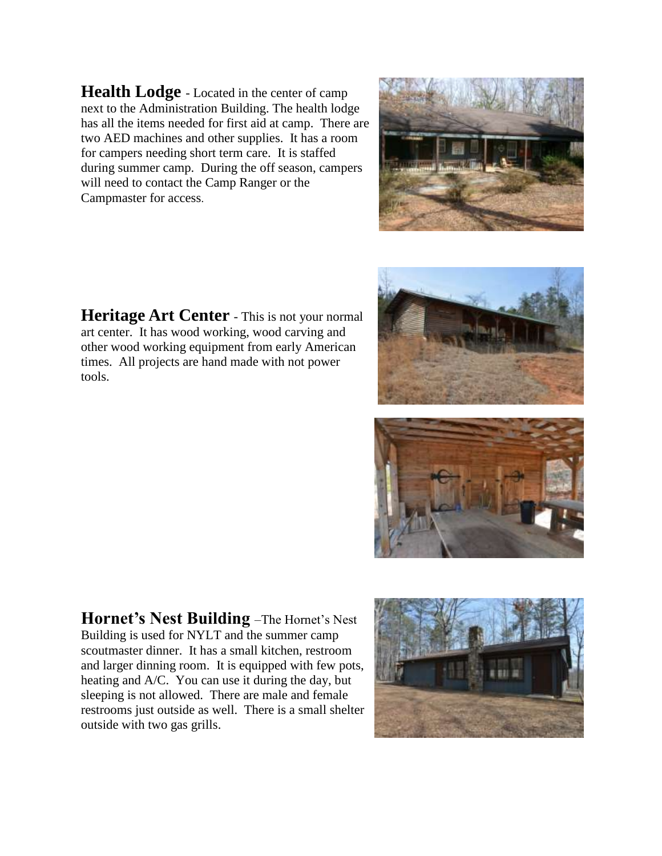**Health Lodge** - Located in the center of camp next to the Administration Building. The health lodge has all the items needed for first aid at camp. There are two AED machines and other supplies. It has a room for campers needing short term care. It is staffed during summer camp. During the off season, campers will need to contact the Camp Ranger or the Campmaster for access.



**Heritage Art Center** - This is not your normal art center. It has wood working, wood carving and other wood working equipment from early American times. All projects are hand made with not power tools.





**Hornet's Nest Building** –The Hornet's Nest Building is used for NYLT and the summer camp scoutmaster dinner. It has a small kitchen, restroom and larger dinning room. It is equipped with few pots, heating and A/C. You can use it during the day, but sleeping is not allowed. There are male and female restrooms just outside as well. There is a small shelter outside with two gas grills.

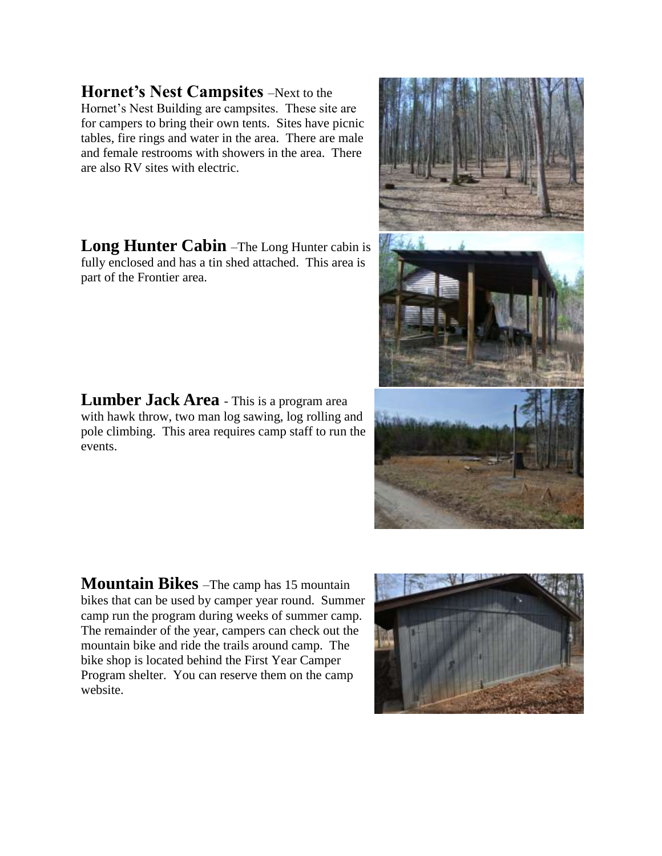**Hornet's Nest Campsites** –Next to the Hornet's Nest Building are campsites. These site are for campers to bring their own tents. Sites have picnic tables, fire rings and water in the area. There are male and female restrooms with showers in the area. There are also RV sites with electric.

**Long Hunter Cabin** –The Long Hunter cabin is fully enclosed and has a tin shed attached. This area is part of the Frontier area.

**Lumber Jack Area** - This is a program area with hawk throw, two man log sawing, log rolling and pole climbing. This area requires camp staff to run the events.

**Mountain Bikes** –The camp has 15 mountain bikes that can be used by camper year round. Summer camp run the program during weeks of summer camp. The remainder of the year, campers can check out the mountain bike and ride the trails around camp. The bike shop is located behind the First Year Camper Program shelter. You can reserve them on the camp website.





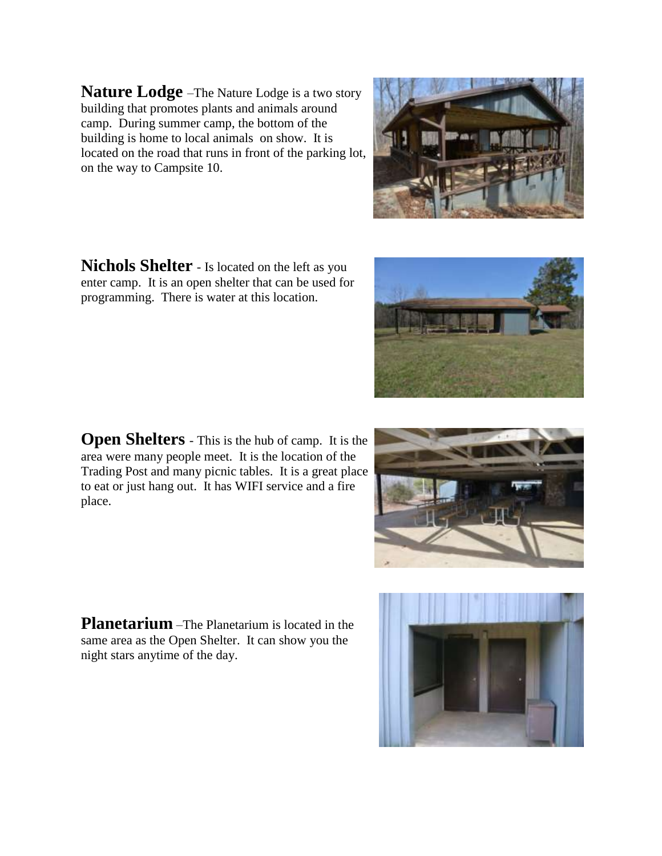**Nature Lodge** –The Nature Lodge is a two story building that promotes plants and animals around camp. During summer camp, the bottom of the building is home to local animals on show. It is located on the road that runs in front of the parking lot, on the way to Campsite 10.

**Nichols Shelter** - Is located on the left as you enter camp. It is an open shelter that can be used for programming. There is water at this location.

**Open Shelters** - This is the hub of camp. It is the area were many people meet. It is the location of the Trading Post and many picnic tables. It is a great place to eat or just hang out. It has WIFI service and a fire place.

**Planetarium** –The Planetarium is located in the same area as the Open Shelter. It can show you the night stars anytime of the day.







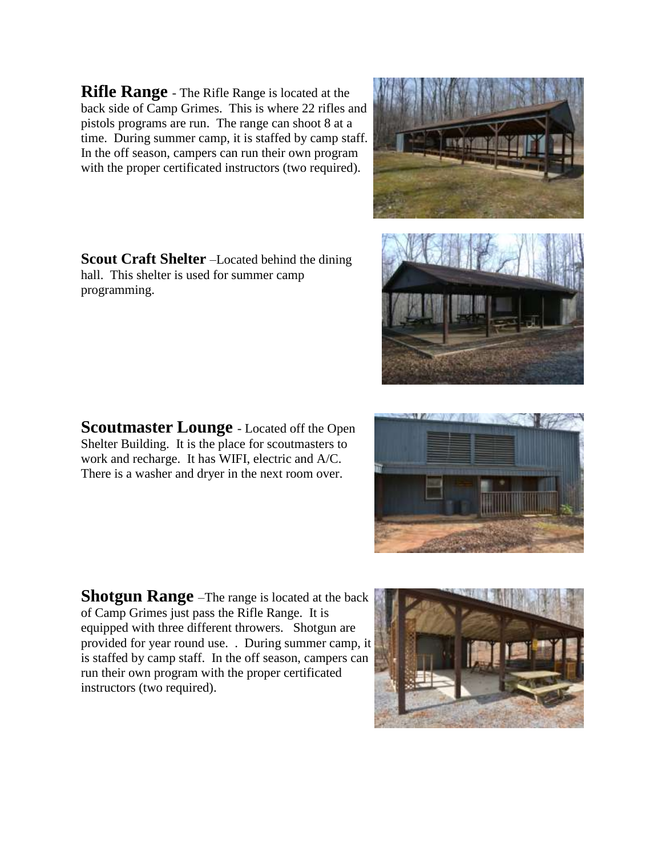**Rifle Range** - The Rifle Range is located at the back side of Camp Grimes. This is where 22 rifles and pistols programs are run. The range can shoot 8 at a time. During summer camp, it is staffed by camp staff. In the off season, campers can run their own program with the proper certificated instructors (two required).

**Scout Craft Shelter** –Located behind the dining hall. This shelter is used for summer camp programming.

**Scoutmaster Lounge** - Located off the Open Shelter Building. It is the place for scoutmasters to work and recharge. It has WIFI, electric and A/C. There is a washer and dryer in the next room over.

**Shotgun Range** –The range is located at the back of Camp Grimes just pass the Rifle Range. It is equipped with three different throwers. Shotgun are provided for year round use. . During summer camp, it is staffed by camp staff. In the off season, campers can run their own program with the proper certificated instructors (two required).







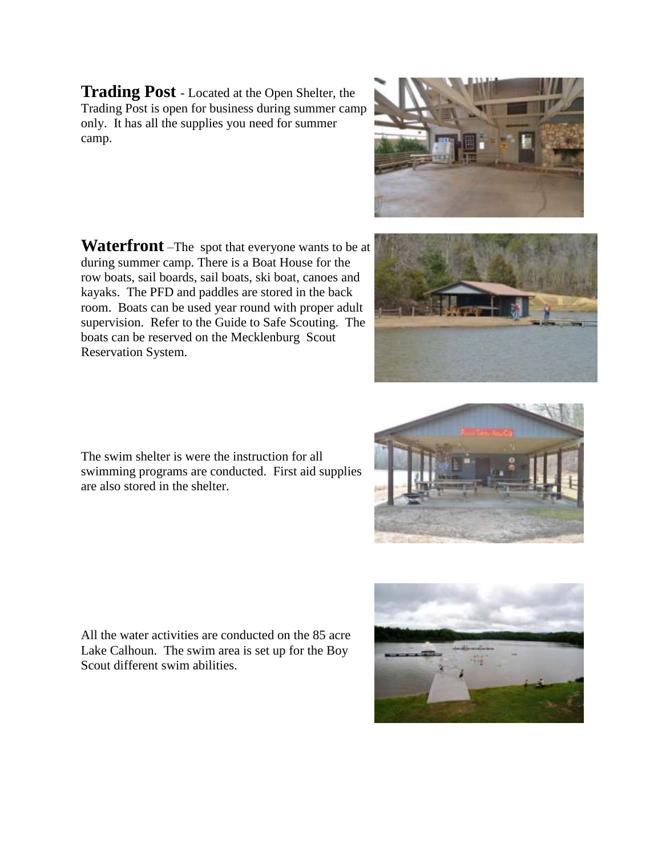**Trading Post** - Located at the Open Shelter, the Trading Post is open for business during summer camp only. It has all the supplies you need for summer camp.

**Waterfront** –The spot that everyone wants to be at during summer camp. There is a Boat House for the row boats, sail boards, sail boats, ski boat, canoes and kayaks. The PFD and paddles are stored in the back room. Boats can be used year round with proper adult supervision. Refer to the Guide to Safe Scouting. The boats can be reserved on the Mecklenburg Scout Reservation System.

The swim shelter is were the instruction for all swimming programs are conducted. First aid supplies are also stored in the shelter.

All the water activities are conducted on the 85 acre Lake Calhoun. The swim area is set up for the Boy Scout different swim abilities.